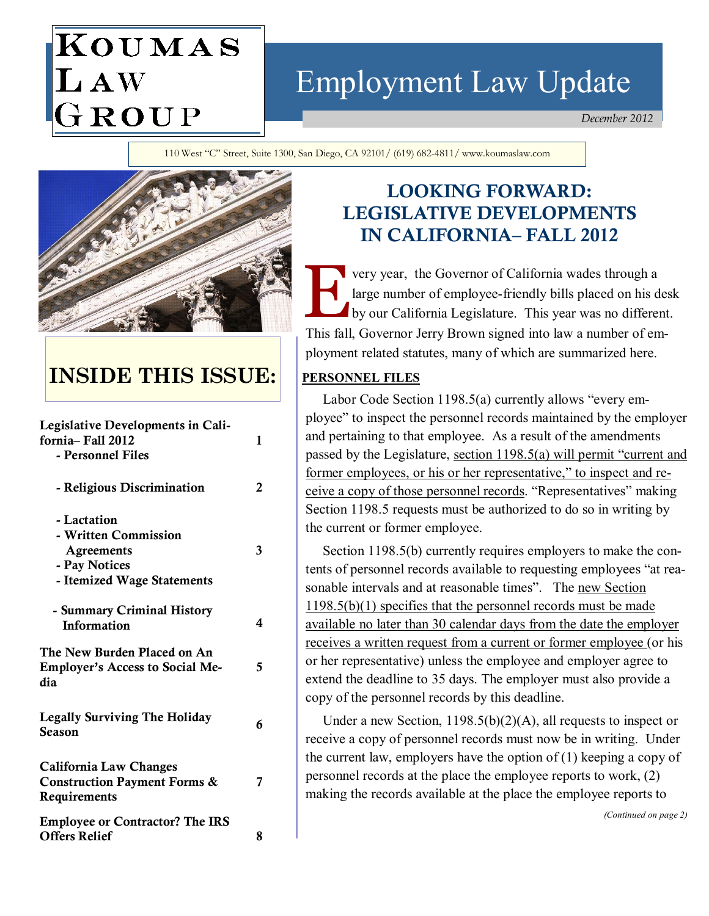# KOUMAS LAW GROUP

# Employment Law Update

December 2012

110 West "C" Street, Suite 1300, San Diego, CA 92101/ (619) 682-4811/ www.koumaslaw.com



## INSIDE THIS ISSUE:

| <b>Legislative Developments in Cali-</b><br>fornia– Fall 2012<br>- Personnel Files                      | 1 |
|---------------------------------------------------------------------------------------------------------|---|
| - Religious Discrimination                                                                              | 2 |
| - Lactation<br>- Written Commission<br><b>Agreements</b><br>- Pay Notices<br>- Itemized Wage Statements | 3 |
| - Summary Criminal History<br><b>Information</b>                                                        | 4 |
| The New Burden Placed on An<br><b>Employer's Access to Social Me-</b><br>dia                            | 5 |
| <b>Legally Surviving The Holiday</b><br>Season                                                          | 6 |
| <b>California Law Changes</b><br><b>Construction Payment Forms &amp;</b><br>Requirements                | 7 |
| <b>Employee or Contractor? The IRS</b><br><b>Offers Relief</b>                                          | 8 |

### LOOKING FORWARD: LEGISLATIVE DEVELOPMENTS IN CALIFORNIA– FALL 2012

very year, the Governor of California wades through a large number of employee-friendly bills placed on his desk by our California Legislature. This year was no different. This fall, Governor Jerry Brown signed into law a number of employment related statutes, many of which are summarized here.

### PERSONNEL FILES

 Labor Code Section 1198.5(a) currently allows "every employee" to inspect the personnel records maintained by the employer and pertaining to that employee. As a result of the amendments passed by the Legislature, section 1198.5(a) will permit "current and former employees, or his or her representative," to inspect and receive a copy of those personnel records. "Representatives" making Section 1198.5 requests must be authorized to do so in writing by the current or former employee.

 Section 1198.5(b) currently requires employers to make the contents of personnel records available to requesting employees "at reasonable intervals and at reasonable times". The new Section 1198.5(b)(1) specifies that the personnel records must be made available no later than 30 calendar days from the date the employer receives a written request from a current or former employee (or his or her representative) unless the employee and employer agree to extend the deadline to 35 days. The employer must also provide a copy of the personnel records by this deadline.

 Under a new Section, 1198.5(b)(2)(A), all requests to inspect or receive a copy of personnel records must now be in writing. Under the current law, employers have the option of  $(1)$  keeping a copy of personnel records at the place the employee reports to work, (2) making the records available at the place the employee reports to

(Continued on page 2)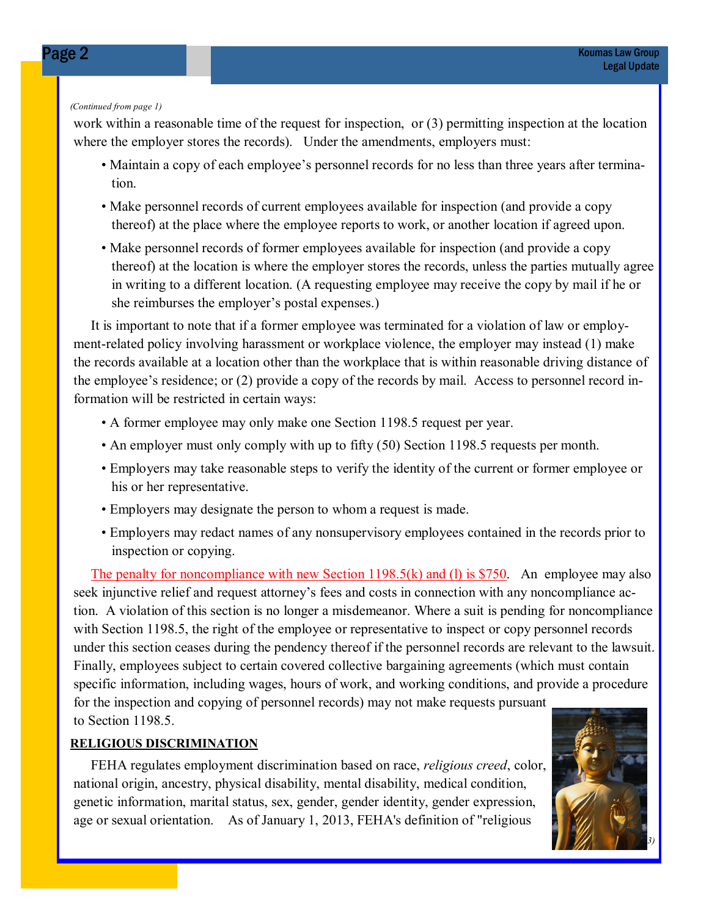#### (Continued from page 1)

work within a reasonable time of the request for inspection, or (3) permitting inspection at the location where the employer stores the records). Under the amendments, employers must:

- Maintain a copy of each employee's personnel records for no less than three years after termination.
- Make personnel records of current employees available for inspection (and provide a copy thereof) at the place where the employee reports to work, or another location if agreed upon.
- Make personnel records of former employees available for inspection (and provide a copy thereof) at the location is where the employer stores the records, unless the parties mutually agree in writing to a different location. (A requesting employee may receive the copy by mail if he or she reimburses the employer's postal expenses.)

 It is important to note that if a former employee was terminated for a violation of law or employment-related policy involving harassment or workplace violence, the employer may instead (1) make the records available at a location other than the workplace that is within reasonable driving distance of the employee's residence; or (2) provide a copy of the records by mail. Access to personnel record information will be restricted in certain ways:

- A former employee may only make one Section 1198.5 request per year.
- An employer must only comply with up to fifty (50) Section 1198.5 requests per month.
- Employers may take reasonable steps to verify the identity of the current or former employee or his or her representative.
- Employers may designate the person to whom a request is made.
- Employers may redact names of any nonsupervisory employees contained in the records prior to inspection or copying.

The penalty for noncompliance with new Section 1198.5(k) and (l) is \$750. An employee may also seek injunctive relief and request attorney's fees and costs in connection with any noncompliance action. A violation of this section is no longer a misdemeanor. Where a suit is pending for noncompliance with Section 1198.5, the right of the employee or representative to inspect or copy personnel records under this section ceases during the pendency thereof if the personnel records are relevant to the lawsuit. Finally, employees subject to certain covered collective bargaining agreements (which must contain specific information, including wages, hours of work, and working conditions, and provide a procedure for the inspection and copying of personnel records) may not make requests pursuant to Section 1198.5.

### RELIGIOUS DISCRIMINATION

 FEHA regulates employment discrimination based on race, religious creed, color, national origin, ancestry, physical disability, mental disability, medical condition, genetic information, marital status, sex, gender, gender identity, gender expression, age or sexual orientation. As of January 1, 2013, FEHA's definition of "religious

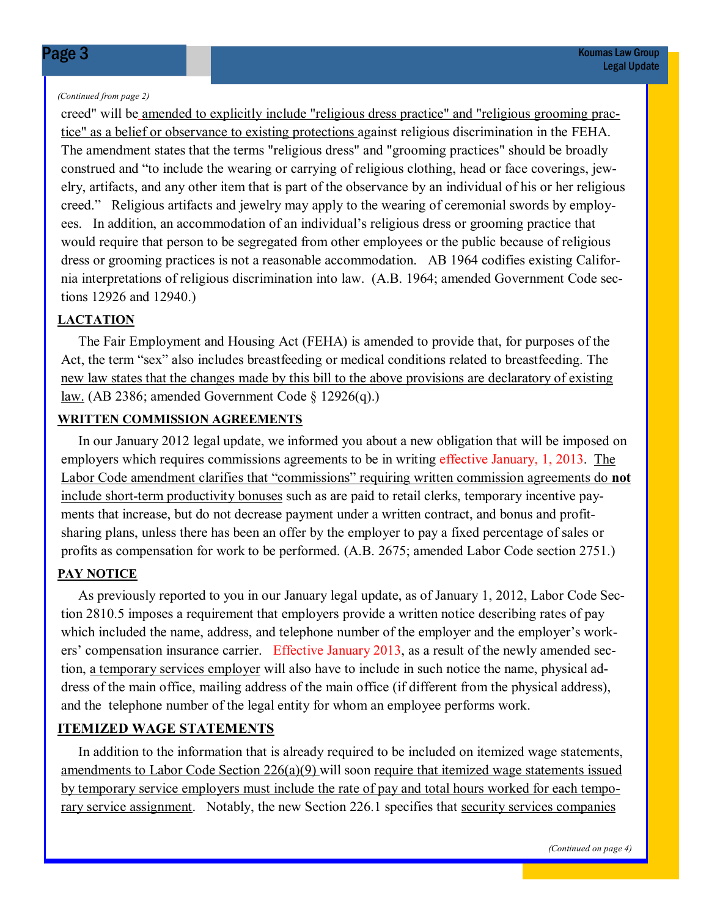#### (Continued from page 2)

creed" will be amended to explicitly include "religious dress practice" and "religious grooming practice" as a belief or observance to existing protections against religious discrimination in the FEHA. The amendment states that the terms "religious dress" and "grooming practices" should be broadly construed and "to include the wearing or carrying of religious clothing, head or face coverings, jewelry, artifacts, and any other item that is part of the observance by an individual of his or her religious creed." Religious artifacts and jewelry may apply to the wearing of ceremonial swords by employees. In addition, an accommodation of an individual's religious dress or grooming practice that would require that person to be segregated from other employees or the public because of religious dress or grooming practices is not a reasonable accommodation. AB 1964 codifies existing California interpretations of religious discrimination into law. (A.B. 1964; amended Government Code sections 12926 and 12940.)

### **LACTATION**

 The Fair Employment and Housing Act (FEHA) is amended to provide that, for purposes of the Act, the term "sex" also includes breastfeeding or medical conditions related to breastfeeding. The new law states that the changes made by this bill to the above provisions are declaratory of existing law. (AB 2386; amended Government Code § 12926(q).)

### WRITTEN COMMISSION AGREEMENTS

 In our January 2012 legal update, we informed you about a new obligation that will be imposed on employers which requires commissions agreements to be in writing effective January, 1, 2013. The Labor Code amendment clarifies that "commissions" requiring written commission agreements do not include short-term productivity bonuses such as are paid to retail clerks, temporary incentive payments that increase, but do not decrease payment under a written contract, and bonus and profitsharing plans, unless there has been an offer by the employer to pay a fixed percentage of sales or profits as compensation for work to be performed. (A.B. 2675; amended Labor Code section 2751.)

### PAY NOTICE

 As previously reported to you in our January legal update, as of January 1, 2012, Labor Code Section 2810.5 imposes a requirement that employers provide a written notice describing rates of pay which included the name, address, and telephone number of the employer and the employer's workers' compensation insurance carrier. Effective January 2013, as a result of the newly amended section, a temporary services employer will also have to include in such notice the name, physical address of the main office, mailing address of the main office (if different from the physical address), and the telephone number of the legal entity for whom an employee performs work.

### ITEMIZED WAGE STATEMENTS

 In addition to the information that is already required to be included on itemized wage statements, amendments to Labor Code Section 226(a)(9) will soon require that itemized wage statements issued by temporary service employers must include the rate of pay and total hours worked for each temporary service assignment. Notably, the new Section 226.1 specifies that security services companies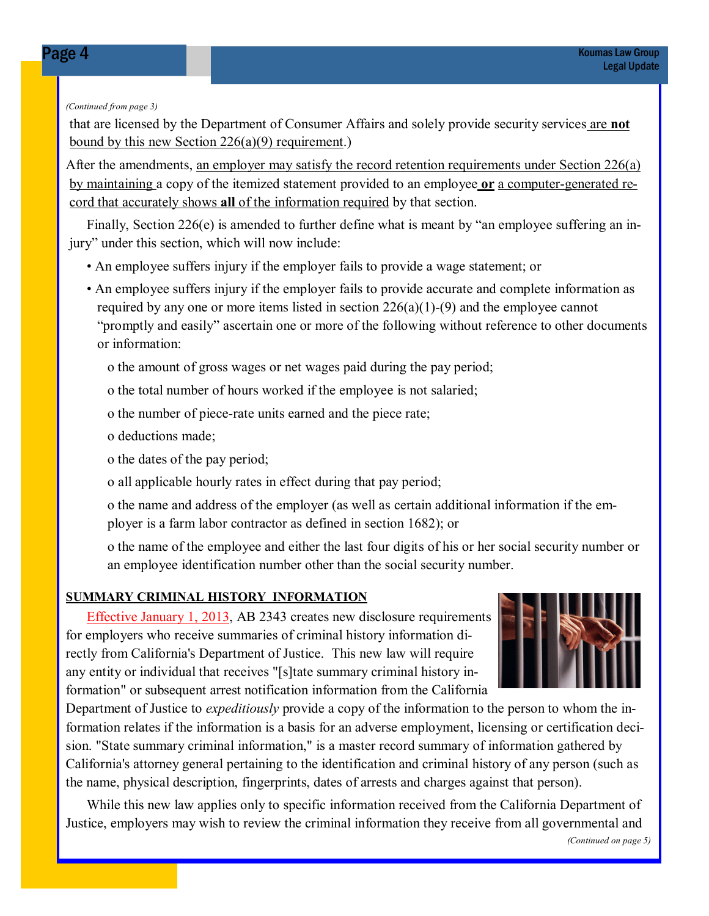#### (Continued from page 3)

that are licensed by the Department of Consumer Affairs and solely provide security services are not bound by this new Section 226(a)(9) requirement.)

After the amendments, <u>an employer may satisfy the record retention requirements under Section 226(a)</u> by maintaining a copy of the itemized statement provided to an employee or a computer-generated record that accurately shows all of the information required by that section.

 Finally, Section 226(e) is amended to further define what is meant by "an employee suffering an injury" under this section, which will now include:

- An employee suffers injury if the employer fails to provide a wage statement; or
- An employee suffers injury if the employer fails to provide accurate and complete information as required by any one or more items listed in section  $226(a)(1)-(9)$  and the employee cannot "promptly and easily" ascertain one or more of the following without reference to other documents or information:
	- o the amount of gross wages or net wages paid during the pay period;
	- o the total number of hours worked if the employee is not salaried;
	- o the number of piece-rate units earned and the piece rate;
	- o deductions made;
	- o the dates of the pay period;
	- o all applicable hourly rates in effect during that pay period;

 o the name and address of the employer (as well as certain additional information if the em ployer is a farm labor contractor as defined in section 1682); or

 o the name of the employee and either the last four digits of his or her social security number or an employee identification number other than the social security number.

### SUMMARY CRIMINAL HISTORY INFORMATION

 Effective January 1, 2013, AB 2343 creates new disclosure requirements for employers who receive summaries of criminal history information directly from California's Department of Justice. This new law will require any entity or individual that receives "[s]tate summary criminal history information" or subsequent arrest notification information from the California



Department of Justice to *expeditiously* provide a copy of the information to the person to whom the information relates if the information is a basis for an adverse employment, licensing or certification decision. "State summary criminal information," is a master record summary of information gathered by California's attorney general pertaining to the identification and criminal history of any person (such as the name, physical description, fingerprints, dates of arrests and charges against that person).

 While this new law applies only to specific information received from the California Department of Justice, employers may wish to review the criminal information they receive from all governmental and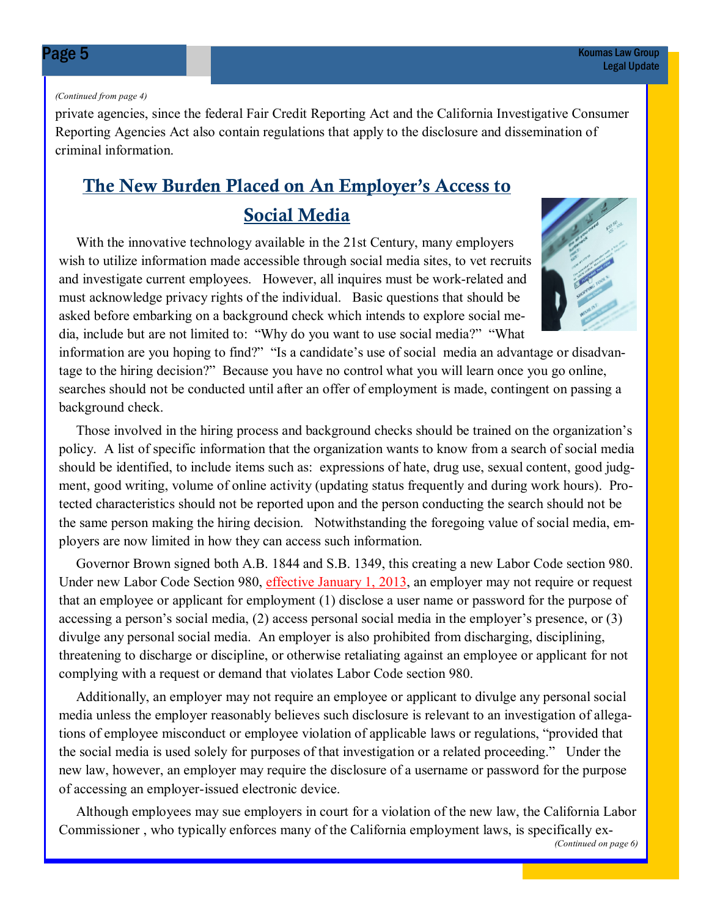#### (Continued from page 4)

private agencies, since the federal Fair Credit Reporting Act and the California Investigative Consumer Reporting Agencies Act also contain regulations that apply to the disclosure and dissemination of criminal information.

### The New Burden Placed on An Employer's Access to Social Media

 With the innovative technology available in the 21st Century, many employers wish to utilize information made accessible through social media sites, to vet recruits and investigate current employees. However, all inquires must be work-related and must acknowledge privacy rights of the individual. Basic questions that should be asked before embarking on a background check which intends to explore social media, include but are not limited to: "Why do you want to use social media?" "What



information are you hoping to find?" "Is a candidate's use of social media an advantage or disadvantage to the hiring decision?" Because you have no control what you will learn once you go online, searches should not be conducted until after an offer of employment is made, contingent on passing a background check.

 Those involved in the hiring process and background checks should be trained on the organization's policy. A list of specific information that the organization wants to know from a search of social media should be identified, to include items such as: expressions of hate, drug use, sexual content, good judgment, good writing, volume of online activity (updating status frequently and during work hours). Protected characteristics should not be reported upon and the person conducting the search should not be the same person making the hiring decision. Notwithstanding the foregoing value of social media, employers are now limited in how they can access such information.

 Governor Brown signed both A.B. 1844 and S.B. 1349, this creating a new Labor Code section 980. Under new Labor Code Section 980, effective January 1, 2013, an employer may not require or request that an employee or applicant for employment (1) disclose a user name or password for the purpose of accessing a person's social media, (2) access personal social media in the employer's presence, or (3) divulge any personal social media. An employer is also prohibited from discharging, disciplining, threatening to discharge or discipline, or otherwise retaliating against an employee or applicant for not complying with a request or demand that violates Labor Code section 980.

 Additionally, an employer may not require an employee or applicant to divulge any personal social media unless the employer reasonably believes such disclosure is relevant to an investigation of allegations of employee misconduct or employee violation of applicable laws or regulations, "provided that the social media is used solely for purposes of that investigation or a related proceeding." Under the new law, however, an employer may require the disclosure of a username or password for the purpose of accessing an employer-issued electronic device.

 Although employees may sue employers in court for a violation of the new law, the California Labor Commissioner , who typically enforces many of the California employment laws, is specifically ex-

<sup>(</sup>Continued on page 6)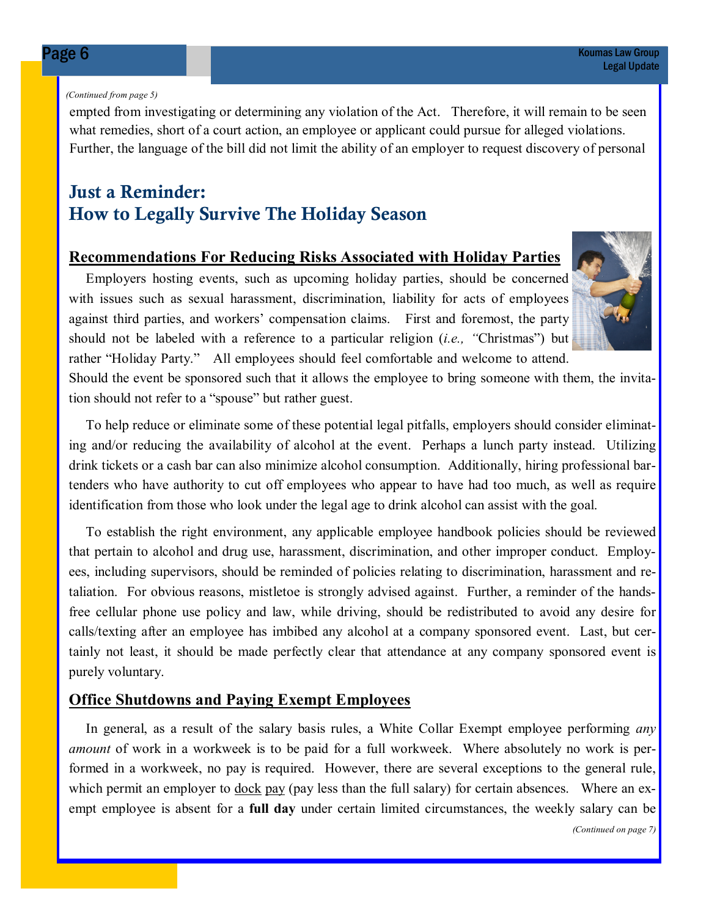#### (Continued from page 5)

empted from investigating or determining any violation of the Act. Therefore, it will remain to be seen what remedies, short of a court action, an employee or applicant could pursue for alleged violations. Further, the language of the bill did not limit the ability of an employer to request discovery of personal

### Just a Reminder: How to Legally Survive The Holiday Season

### Recommendations For Reducing Risks Associated with Holiday Parties

 Employers hosting events, such as upcoming holiday parties, should be concerned with issues such as sexual harassment, discrimination, liability for acts of employees against third parties, and workers' compensation claims. First and foremost, the party should not be labeled with a reference to a particular religion  $(i.e.,$  "Christmas") but rather "Holiday Party." All employees should feel comfortable and welcome to attend.



Should the event be sponsored such that it allows the employee to bring someone with them, the invitation should not refer to a "spouse" but rather guest.

 To help reduce or eliminate some of these potential legal pitfalls, employers should consider eliminating and/or reducing the availability of alcohol at the event. Perhaps a lunch party instead. Utilizing drink tickets or a cash bar can also minimize alcohol consumption. Additionally, hiring professional bartenders who have authority to cut off employees who appear to have had too much, as well as require identification from those who look under the legal age to drink alcohol can assist with the goal.

 To establish the right environment, any applicable employee handbook policies should be reviewed that pertain to alcohol and drug use, harassment, discrimination, and other improper conduct. Employees, including supervisors, should be reminded of policies relating to discrimination, harassment and retaliation. For obvious reasons, mistletoe is strongly advised against. Further, a reminder of the handsfree cellular phone use policy and law, while driving, should be redistributed to avoid any desire for calls/texting after an employee has imbibed any alcohol at a company sponsored event. Last, but certainly not least, it should be made perfectly clear that attendance at any company sponsored event is purely voluntary.

### Office Shutdowns and Paying Exempt Employees

In general, as a result of the salary basis rules, a White Collar Exempt employee performing *any* amount of work in a workweek is to be paid for a full workweek. Where absolutely no work is performed in a workweek, no pay is required. However, there are several exceptions to the general rule, which permit an employer to <u>dock pay</u> (pay less than the full salary) for certain absences. Where an exempt employee is absent for a **full day** under certain limited circumstances, the weekly salary can be

(Continued on page 7)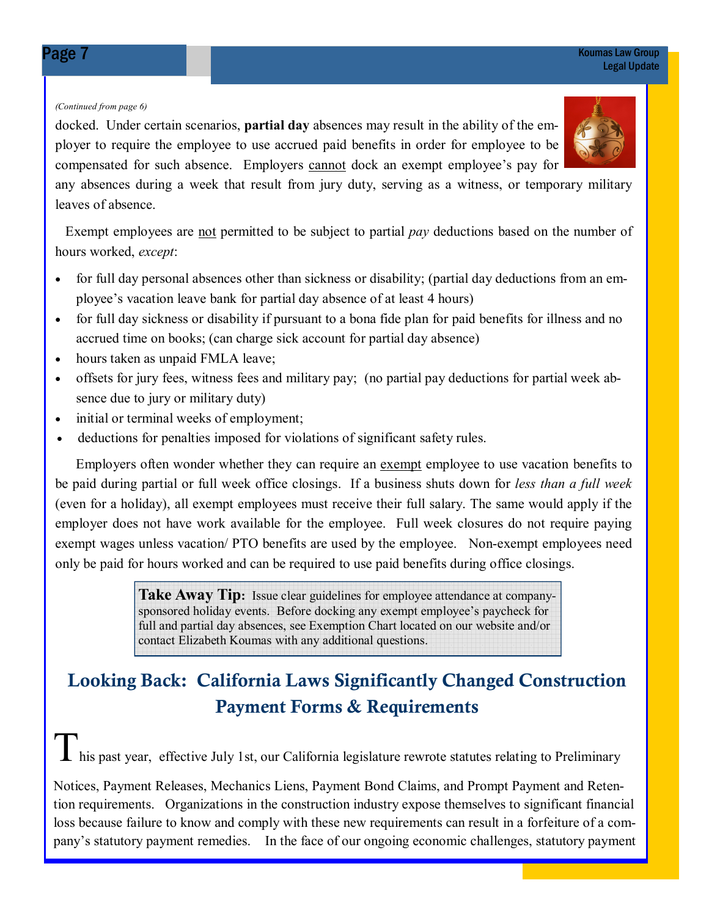#### (Continued from page 6)

docked. Under certain scenarios, partial day absences may result in the ability of the employer to require the employee to use accrued paid benefits in order for employee to be compensated for such absence. Employers cannot dock an exempt employee's pay for

any absences during a week that result from jury duty, serving as a witness, or temporary military leaves of absence.

Exempt employees are not permitted to be subject to partial pay deductions based on the number of hours worked, except:

- for full day personal absences other than sickness or disability; (partial day deductions from an employee's vacation leave bank for partial day absence of at least 4 hours)
- for full day sickness or disability if pursuant to a bona fide plan for paid benefits for illness and no accrued time on books; (can charge sick account for partial day absence)
- hours taken as unpaid FMLA leave;
- offsets for jury fees, witness fees and military pay; (no partial pay deductions for partial week absence due to jury or military duty)
- initial or terminal weeks of employment;
- deductions for penalties imposed for violations of significant safety rules.

 Employers often wonder whether they can require an exempt employee to use vacation benefits to be paid during partial or full week office closings. If a business shuts down for less than a full week (even for a holiday), all exempt employees must receive their full salary. The same would apply if the employer does not have work available for the employee. Full week closures do not require paying exempt wages unless vacation/ PTO benefits are used by the employee. Non-exempt employees need only be paid for hours worked and can be required to use paid benefits during office closings.

> **Take Away Tip:** Issue clear guidelines for employee attendance at companysponsored holiday events. Before docking any exempt employee's paycheck for full and partial day absences, see Exemption Chart located on our website and/or contact Elizabeth Koumas with any additional questions.

### Looking Back: California Laws Significantly Changed Construction Payment Forms & Requirements

**L** his past year, effective July 1st, our California legislature rewrote statutes relating to Preliminary

Notices, Payment Releases, Mechanics Liens, Payment Bond Claims, and Prompt Payment and Retention requirements. Organizations in the construction industry expose themselves to significant financial loss because failure to know and comply with these new requirements can result in a forfeiture of a company's statutory payment remedies. In the face of our ongoing economic challenges, statutory payment